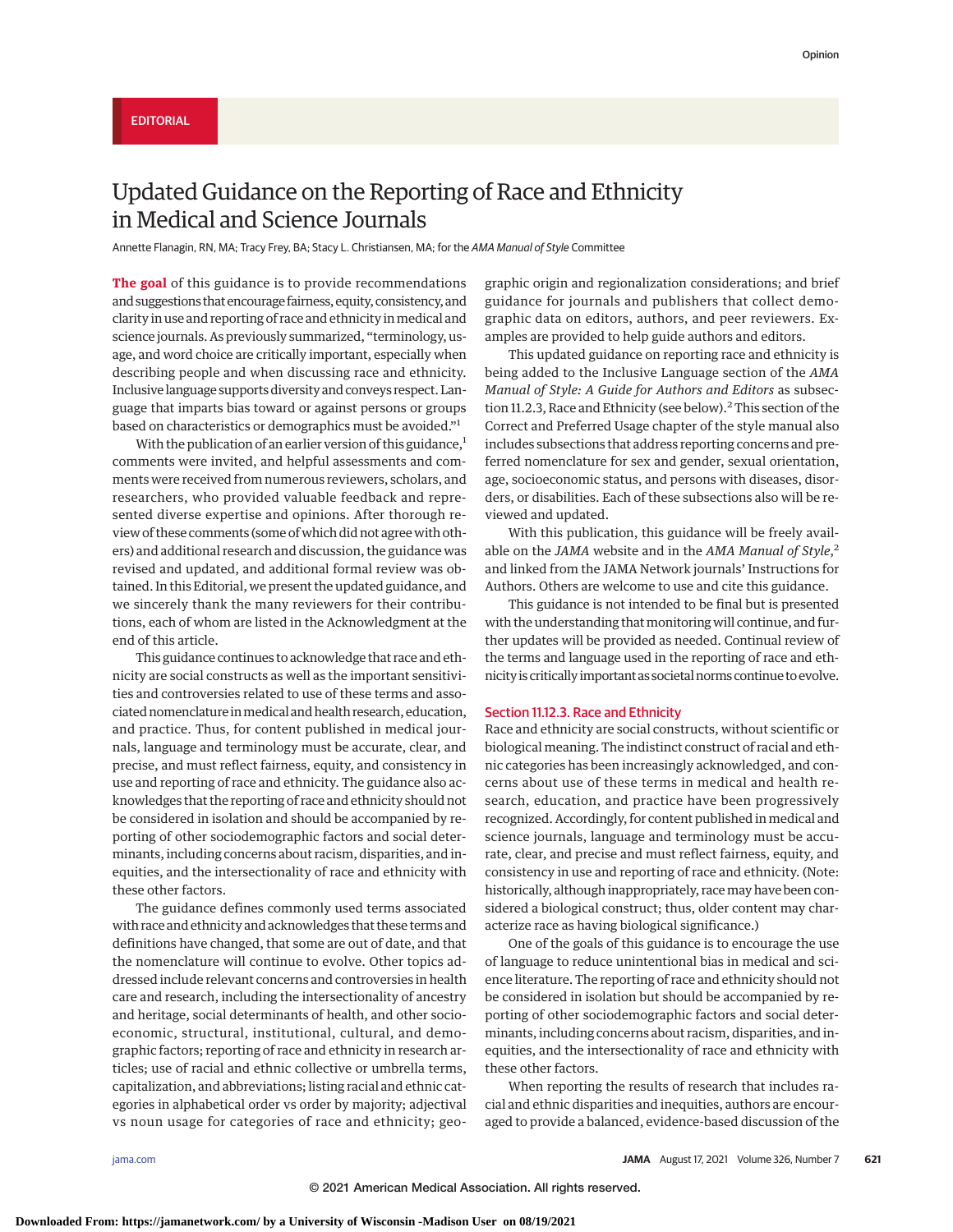# Updated Guidance on the Reporting of Race and Ethnicity in Medical and Science Journals

Annette Flanagin, RN, MA; Tracy Frey, BA; Stacy L. Christiansen, MA; for the AMA Manual of Style Committee

**The goal** of this guidance is to provide recommendations and suggestions that encourage fairness, equity, consistency, and clarity in use and reporting of race and ethnicity inmedical and science journals. As previously summarized, "terminology, usage, and word choice are critically important, especially when describing people and when discussing race and ethnicity. Inclusive language supports diversity and conveys respect. Language that imparts bias toward or against persons or groups based on characteristics or demographics must be avoided."1

With the publication of an earlier version of this guidance, $<sup>1</sup>$ </sup> comments were invited, and helpful assessments and comments were received from numerous reviewers, scholars, and researchers, who provided valuable feedback and represented diverse expertise and opinions. After thorough review of these comments (some of which did not agree with others) and additional research and discussion, the guidance was revised and updated, and additional formal review was obtained. In this Editorial, we present the updated guidance, and we sincerely thank the many reviewers for their contributions, each of whom are listed in the Acknowledgment at the end of this article.

This guidance continues to acknowledge that race and ethnicity are social constructs as well as the important sensitivities and controversies related to use of these terms and associated nomenclature inmedical and health research, education, and practice. Thus, for content published in medical journals, language and terminology must be accurate, clear, and precise, and must reflect fairness, equity, and consistency in use and reporting of race and ethnicity. The guidance also acknowledges that the reporting of race and ethnicity should not be considered in isolation and should be accompanied by reporting of other sociodemographic factors and social determinants, including concerns about racism, disparities, and inequities, and the intersectionality of race and ethnicity with these other factors.

The guidance defines commonly used terms associated with race and ethnicity and acknowledges that these terms and definitions have changed, that some are out of date, and that the nomenclature will continue to evolve. Other topics addressed include relevant concerns and controversies in health care and research, including the intersectionality of ancestry and heritage, social determinants of health, and other socioeconomic, structural, institutional, cultural, and demographic factors; reporting of race and ethnicity in research articles; use of racial and ethnic collective or umbrella terms, capitalization, and abbreviations; listing racial and ethnic categories in alphabetical order vs order by majority; adjectival vs noun usage for categories of race and ethnicity; geographic origin and regionalization considerations; and brief guidance for journals and publishers that collect demographic data on editors, authors, and peer reviewers. Examples are provided to help guide authors and editors.

This updated guidance on reporting race and ethnicity is being added to the Inclusive Language section of the *AMA Manual of Style: A Guide for Authors and Editors* as subsection 11.2.3, Race and Ethnicity (see below).<sup>2</sup> This section of the Correct and Preferred Usage chapter of the style manual also includes subsections that address reporting concerns and preferred nomenclature for sex and gender, sexual orientation, age, socioeconomic status, and persons with diseases, disorders, or disabilities. Each of these subsections also will be reviewed and updated.

With this publication, this guidance will be freely available on the *JAMA* website and in the *AMA Manual of Style*, 2 and linked from the JAMA Network journals' Instructions for Authors. Others are welcome to use and cite this guidance.

This guidance is not intended to be final but is presented with the understanding that monitoring will continue, and further updates will be provided as needed. Continual review of the terms and language used in the reporting of race and ethnicity is critically important as societal norms continue to evolve.

## Section 11.12.3. Race and Ethnicity

Race and ethnicity are social constructs, without scientific or biological meaning. The indistinct construct of racial and ethnic categories has been increasingly acknowledged, and concerns about use of these terms in medical and health research, education, and practice have been progressively recognized. Accordingly, for content published in medical and science journals, language and terminology must be accurate, clear, and precise and must reflect fairness, equity, and consistency in use and reporting of race and ethnicity. (Note: historically, although inappropriately, race may have been considered a biological construct; thus, older content may characterize race as having biological significance.)

One of the goals of this guidance is to encourage the use of language to reduce unintentional bias in medical and science literature. The reporting of race and ethnicity should not be considered in isolation but should be accompanied by reporting of other sociodemographic factors and social determinants, including concerns about racism, disparities, and inequities, and the intersectionality of race and ethnicity with these other factors.

When reporting the results of research that includes racial and ethnic disparities and inequities, authors are encouraged to provide a balanced, evidence-based discussion of the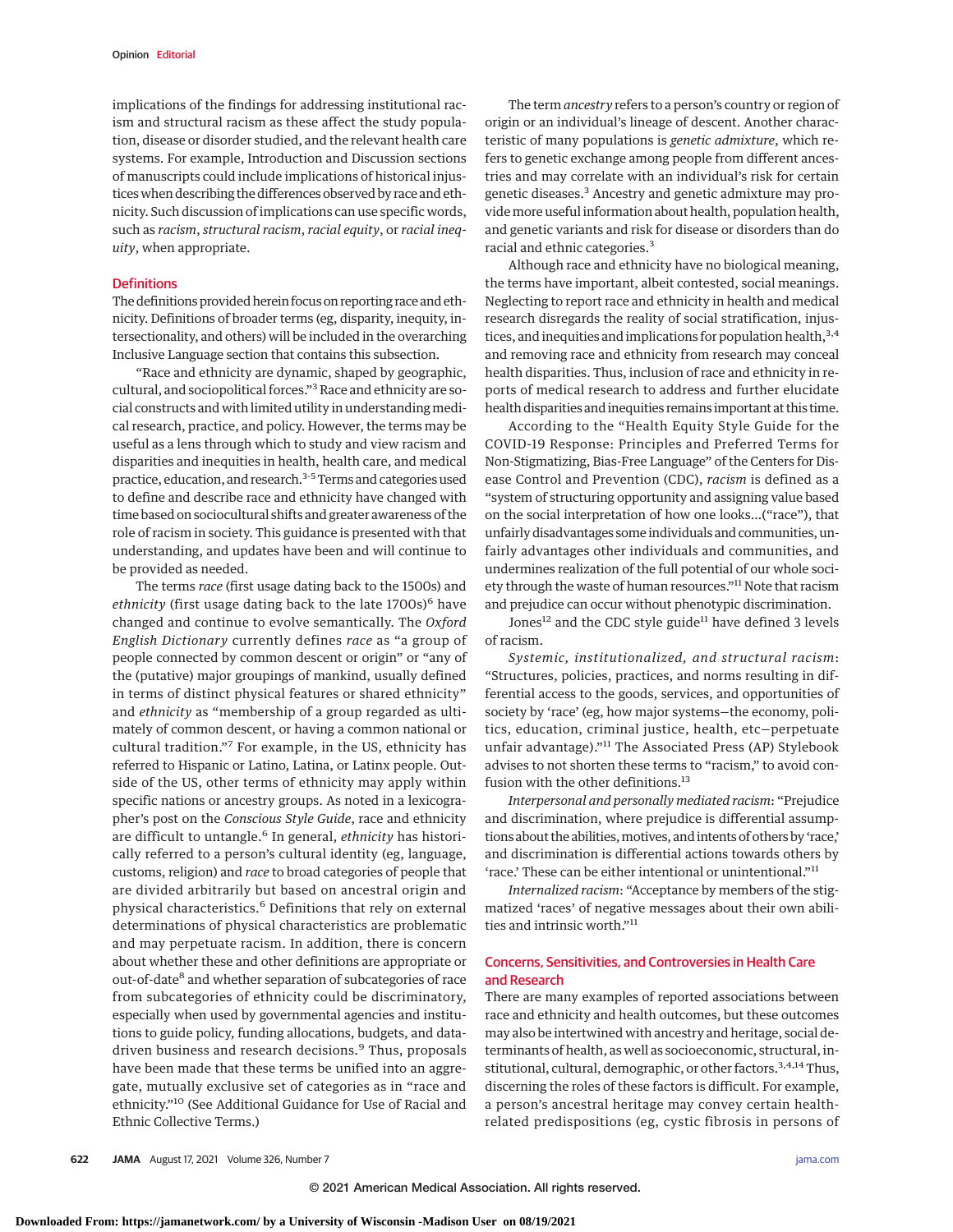implications of the findings for addressing institutional racism and structural racism as these affect the study population, disease or disorder studied, and the relevant health care systems. For example, Introduction and Discussion sections of manuscripts could include implications of historical injustices when describing the differences observed by race and ethnicity. Such discussion of implications can use specific words, such as *racism*, *structural racism*, *racial equity*, or *racial inequity*, when appropriate.

## **Definitions**

The definitions provided herein focus on reporting race and ethnicity. Definitions of broader terms (eg, disparity, inequity, intersectionality, and others) will be included in the overarching Inclusive Language section that contains this subsection.

"Race and ethnicity are dynamic, shaped by geographic, cultural, and sociopolitical forces."3Race and ethnicity are social constructs and with limited utility in understanding medical research, practice, and policy. However, the terms may be useful as a lens through which to study and view racism and disparities and inequities in health, health care, and medical practice, education, and research.<sup>3-5</sup> Terms and categories used to define and describe race and ethnicity have changed with time based on sociocultural shifts and greater awareness of the role of racism in society. This guidance is presented with that understanding, and updates have been and will continue to be provided as needed.

The terms *race* (first usage dating back to the 1500s) and ethnicity (first usage dating back to the late 1700s)<sup>6</sup> have changed and continue to evolve semantically. The *Oxford English Dictionary* currently defines *race* as "a group of people connected by common descent or origin" or "any of the (putative) major groupings of mankind, usually defined in terms of distinct physical features or shared ethnicity" and *ethnicity* as "membership of a group regarded as ultimately of common descent, or having a common national or cultural tradition."<sup>7</sup> For example, in the US, ethnicity has referred to Hispanic or Latino, Latina, or Latinx people. Outside of the US, other terms of ethnicity may apply within specific nations or ancestry groups. As noted in a lexicographer's post on the *Conscious Style Guide*, race and ethnicity are difficult to untangle.<sup>6</sup> In general, *ethnicity* has historically referred to a person's cultural identity (eg, language, customs, religion) and *race* to broad categories of people that are divided arbitrarily but based on ancestral origin and physical characteristics.<sup>6</sup> Definitions that rely on external determinations of physical characteristics are problematic and may perpetuate racism. In addition, there is concern about whether these and other definitions are appropriate or out-of-date<sup>8</sup> and whether separation of subcategories of race from subcategories of ethnicity could be discriminatory, especially when used by governmental agencies and institutions to guide policy, funding allocations, budgets, and datadriven business and research decisions.<sup>9</sup> Thus, proposals have been made that these terms be unified into an aggregate, mutually exclusive set of categories as in "race and ethnicity."<sup>10</sup> (See Additional Guidance for Use of Racial and Ethnic Collective Terms.)

The term *ancestry* refers to a person's country or region of origin or an individual's lineage of descent. Another characteristic of many populations is *genetic admixture*, which refers to genetic exchange among people from different ancestries and may correlate with an individual's risk for certain genetic diseases.3 Ancestry and genetic admixture may provide more useful information about health, population health, and genetic variants and risk for disease or disorders than do racial and ethnic categories.<sup>3</sup>

Although race and ethnicity have no biological meaning, the terms have important, albeit contested, social meanings. Neglecting to report race and ethnicity in health and medical research disregards the reality of social stratification, injustices, and inequities and implications for population health,  $3,4$ and removing race and ethnicity from research may conceal health disparities. Thus, inclusion of race and ethnicity in reports of medical research to address and further elucidate health disparities and inequities remains important at this time.

According to the "Health Equity Style Guide for the COVID-19 Response: Principles and Preferred Terms for Non-Stigmatizing, Bias-Free Language" of the Centers for Disease Control and Prevention (CDC), *racism* is defined as a "system of structuring opportunity and assigning value based on the social interpretation of how one looks…("race"), that unfairly disadvantages some individuals and communities, unfairly advantages other individuals and communities, and undermines realization of the full potential of our whole society through the waste of human resources."<sup>11</sup> Note that racism and prejudice can occur without phenotypic discrimination.

Jones<sup>12</sup> and the CDC style guide<sup>11</sup> have defined 3 levels of racism.

*Systemic, institutionalized, and structural racism*: "Structures, policies, practices, and norms resulting in differential access to the goods, services, and opportunities of society by 'race' (eg, how major systems—the economy, politics, education, criminal justice, health, etc—perpetuate unfair advantage)."<sup>11</sup> The Associated Press (AP) Stylebook advises to not shorten these terms to "racism," to avoid confusion with the other definitions.<sup>13</sup>

*Interpersonal and personally mediated racism*: "Prejudice and discrimination, where prejudice is differential assumptions about the abilities, motives, and intents of others by 'race,' and discrimination is differential actions towards others by 'race.' These can be either intentional or unintentional."<sup>11</sup>

*Internalized racism*: "Acceptance by members of the stigmatized 'races' of negative messages about their own abilities and intrinsic worth."<sup>11</sup>

# Concerns, Sensitivities, and Controversies in Health Care and Research

There are many examples of reported associations between race and ethnicity and health outcomes, but these outcomes may also be intertwined with ancestry and heritage, social determinants of health, as well as socioeconomic, structural, institutional, cultural, demographic, or other factors.<sup>3,4,14</sup>Thus, discerning the roles of these factors is difficult. For example, a person's ancestral heritage may convey certain healthrelated predispositions (eg, cystic fibrosis in persons of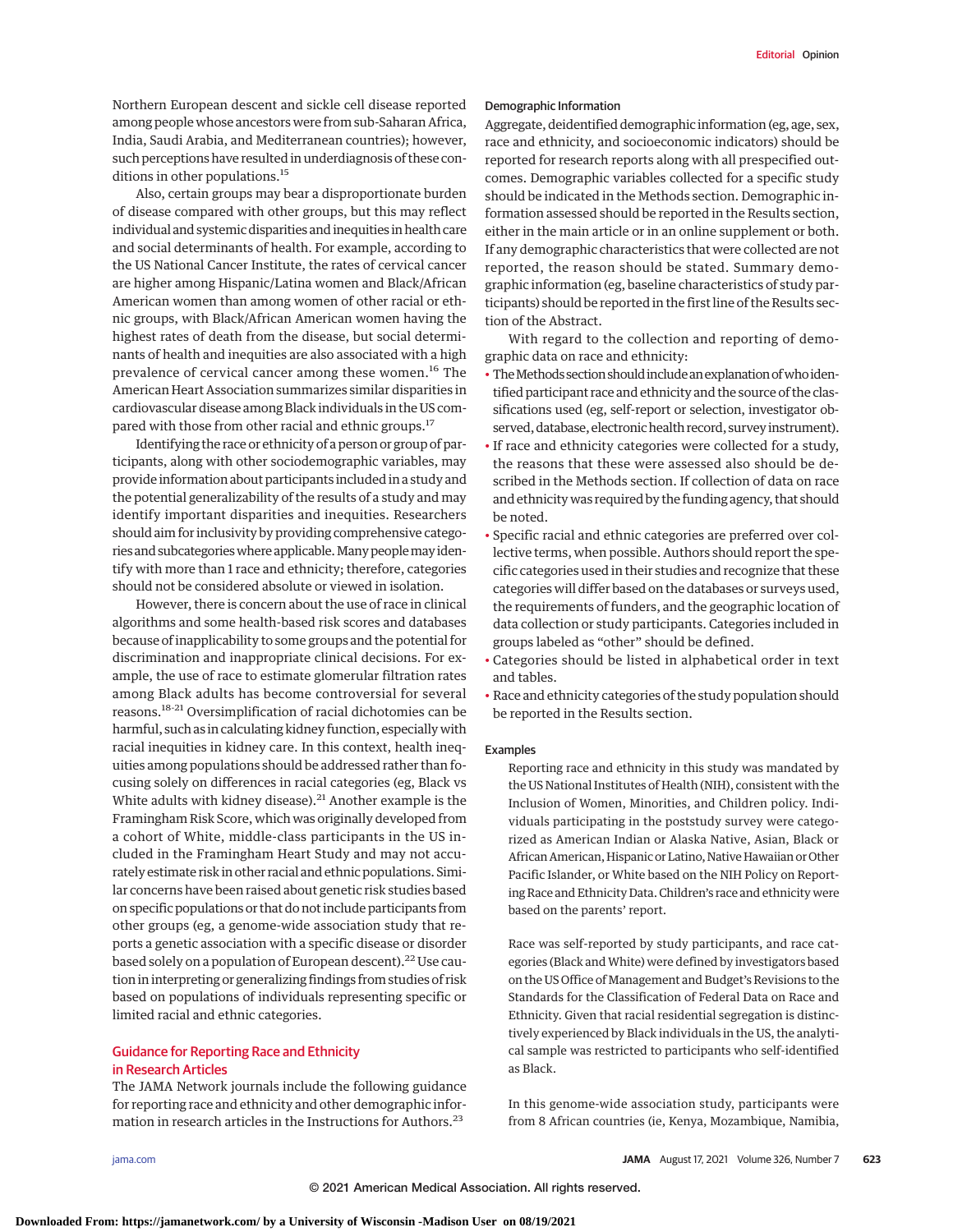Northern European descent and sickle cell disease reported among people whose ancestors were from sub-Saharan Africa, India, Saudi Arabia, and Mediterranean countries); however, such perceptions have resulted in underdiagnosis of these conditions in other populations.<sup>15</sup>

Also, certain groups may bear a disproportionate burden of disease compared with other groups, but this may reflect individual and systemic disparities and inequities in health care and social determinants of health. For example, according to the US National Cancer Institute, the rates of cervical cancer are higher among Hispanic/Latina women and Black/African American women than among women of other racial or ethnic groups, with Black/African American women having the highest rates of death from the disease, but social determinants of health and inequities are also associated with a high prevalence of cervical cancer among these women.<sup>16</sup> The American Heart Association summarizes similar disparities in cardiovascular disease among Black individuals in the US compared with those from other racial and ethnic groups.<sup>17</sup>

Identifying the race or ethnicity of a person or group of participants, along with other sociodemographic variables, may provide information about participants included in a study and the potential generalizability of the results of a study and may identify important disparities and inequities. Researchers should aim for inclusivity by providing comprehensive categories and subcategorieswhere applicable.Many peoplemay identify with more than 1 race and ethnicity; therefore, categories should not be considered absolute or viewed in isolation.

However, there is concern about the use of race in clinical algorithms and some health-based risk scores and databases because of inapplicability to some groups and the potential for discrimination and inappropriate clinical decisions. For example, the use of race to estimate glomerular filtration rates among Black adults has become controversial for several reasons.18-21 Oversimplification of racial dichotomies can be harmful, such as in calculating kidney function, especially with racial inequities in kidney care. In this context, health inequities among populations should be addressed rather than focusing solely on differences in racial categories (eg, Black vs White adults with kidney disease). $21$  Another example is the Framingham Risk Score, which was originally developed from a cohort of White, middle-class participants in the US included in the Framingham Heart Study and may not accurately estimate risk in other racial and ethnic populations. Similar concerns have been raised about genetic risk studies based on specific populations or that do not include participants from other groups (eg, a genome-wide association study that reports a genetic association with a specific disease or disorder based solely on a population of European descent).<sup>22</sup> Use caution in interpreting or generalizing findings from studies of risk based on populations of individuals representing specific or limited racial and ethnic categories.

# Guidance for Reporting Race and Ethnicity in Research Articles

The JAMA Network journals include the following guidance for reporting race and ethnicity and other demographic information in research articles in the Instructions for Authors.<sup>23</sup>

Demographic Information

Aggregate, deidentified demographic information (eg, age, sex, race and ethnicity, and socioeconomic indicators) should be reported for research reports along with all prespecified outcomes. Demographic variables collected for a specific study should be indicated in the Methods section. Demographic information assessed should be reported in the Results section, either in the main article or in an online supplement or both. If any demographic characteristics that were collected are not reported, the reason should be stated. Summary demographic information (eg, baseline characteristics of study participants) should be reported in the first line of the Results section of the Abstract.

With regard to the collection and reporting of demographic data on race and ethnicity:

- The Methods section should include an explanation of who identified participant race and ethnicity and the source of the classifications used (eg, self-report or selection, investigator observed, database, electronic health record, survey instrument).
- If race and ethnicity categories were collected for a study, the reasons that these were assessed also should be described in the Methods section. If collection of data on race and ethnicity was required by the funding agency, that should be noted.
- Specific racial and ethnic categories are preferred over collective terms, when possible. Authors should report the specific categories used in their studies and recognize that these categories will differ based on the databases or surveys used, the requirements of funders, and the geographic location of data collection or study participants. Categories included in groups labeled as "other" should be defined.
- Categories should be listed in alphabetical order in text and tables.
- Race and ethnicity categories of the study population should be reported in the Results section.

#### Examples

Reporting race and ethnicity in this study was mandated by the US National Institutes of Health (NIH), consistent with the Inclusion of Women, Minorities, and Children policy. Individuals participating in the poststudy survey were categorized as American Indian or Alaska Native, Asian, Black or African American, Hispanic or Latino, Native Hawaiian or Other Pacific Islander, or White based on the NIH Policy on Reporting Race and Ethnicity Data. Children's race and ethnicity were based on the parents' report.

Race was self-reported by study participants, and race categories (Black andWhite) were defined by investigators based on the US Office of Management and Budget's Revisions to the Standards for the Classification of Federal Data on Race and Ethnicity. Given that racial residential segregation is distinctively experienced by Black individuals in the US, the analytical sample was restricted to participants who self-identified as Black.

In this genome-wide association study, participants were from 8 African countries (ie, Kenya, Mozambique, Namibia,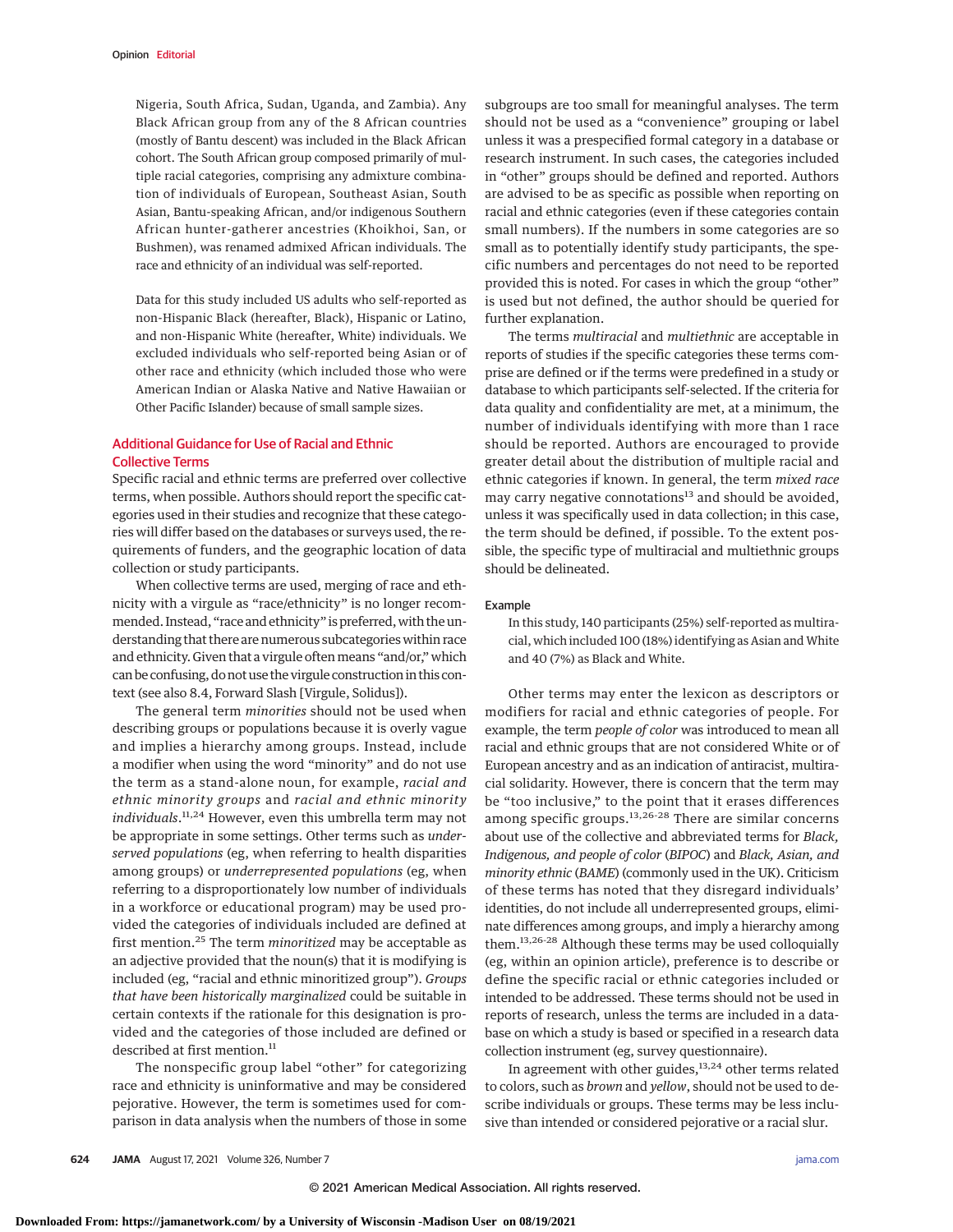Nigeria, South Africa, Sudan, Uganda, and Zambia). Any Black African group from any of the 8 African countries (mostly of Bantu descent) was included in the Black African cohort. The South African group composed primarily of multiple racial categories, comprising any admixture combination of individuals of European, Southeast Asian, South Asian, Bantu-speaking African, and/or indigenous Southern African hunter-gatherer ancestries (Khoikhoi, San, or Bushmen), was renamed admixed African individuals. The race and ethnicity of an individual was self-reported.

Data for this study included US adults who self-reported as non-Hispanic Black (hereafter, Black), Hispanic or Latino, and non-Hispanic White (hereafter, White) individuals. We excluded individuals who self-reported being Asian or of other race and ethnicity (which included those who were American Indian or Alaska Native and Native Hawaiian or Other Pacific Islander) because of small sample sizes.

# Additional Guidance for Use of Racial and Ethnic Collective Terms

Specific racial and ethnic terms are preferred over collective terms, when possible. Authors should report the specific categories used in their studies and recognize that these categories will differ based on the databases or surveys used, the requirements of funders, and the geographic location of data collection or study participants.

When collective terms are used, merging of race and ethnicity with a virgule as "race/ethnicity" is no longer recommended. Instead, "race and ethnicity" is preferred, with the understanding that there are numerous subcategories within race and ethnicity. Given that a virgule often means "and/or," which can be confusing, do not use the virgule construction in this context (see also 8.4, Forward Slash [Virgule, Solidus]).

The general term *minorities* should not be used when describing groups or populations because it is overly vague and implies a hierarchy among groups. Instead, include a modifier when using the word "minority" and do not use the term as a stand-alone noun, for example, *racial and ethnic minority groups* and *racial and ethnic minority individuals*. 11,24 However, even this umbrella term may not be appropriate in some settings. Other terms such as *underserved populations* (eg, when referring to health disparities among groups) or *underrepresented populations* (eg, when referring to a disproportionately low number of individuals in a workforce or educational program) may be used provided the categories of individuals included are defined at first mention.<sup>25</sup> The term *minoritized* may be acceptable as an adjective provided that the noun(s) that it is modifying is included (eg, "racial and ethnic minoritized group"). *Groups that have been historically marginalized* could be suitable in certain contexts if the rationale for this designation is provided and the categories of those included are defined or described at first mention.<sup>11</sup>

The nonspecific group label "other" for categorizing race and ethnicity is uninformative and may be considered pejorative. However, the term is sometimes used for comparison in data analysis when the numbers of those in some subgroups are too small for meaningful analyses. The term should not be used as a "convenience" grouping or label unless it was a prespecified formal category in a database or research instrument. In such cases, the categories included in "other" groups should be defined and reported. Authors are advised to be as specific as possible when reporting on racial and ethnic categories (even if these categories contain small numbers). If the numbers in some categories are so small as to potentially identify study participants, the specific numbers and percentages do not need to be reported provided this is noted. For cases in which the group "other" is used but not defined, the author should be queried for further explanation.

The terms *multiracial* and *multiethnic* are acceptable in reports of studies if the specific categories these terms comprise are defined or if the terms were predefined in a study or database to which participants self-selected. If the criteria for data quality and confidentiality are met, at a minimum, the number of individuals identifying with more than 1 race should be reported. Authors are encouraged to provide greater detail about the distribution of multiple racial and ethnic categories if known. In general, the term *mixed race* may carry negative connotations<sup>13</sup> and should be avoided, unless it was specifically used in data collection; in this case, the term should be defined, if possible. To the extent possible, the specific type of multiracial and multiethnic groups should be delineated.

## Example

In this study, 140 participants (25%) self-reported as multiracial, which included 100 (18%) identifying as Asian andWhite and 40 (7%) as Black and White.

Other terms may enter the lexicon as descriptors or modifiers for racial and ethnic categories of people. For example, the term *people of color* was introduced to mean all racial and ethnic groups that are not considered White or of European ancestry and as an indication of antiracist, multiracial solidarity. However, there is concern that the term may be "too inclusive," to the point that it erases differences among specific groups.<sup>13,26-28</sup> There are similar concerns about use of the collective and abbreviated terms for *Black, Indigenous, and people of color* (*BIPOC*) and *Black, Asian, and minority ethnic* (*BAME*) (commonly used in the UK). Criticism of these terms has noted that they disregard individuals' identities, do not include all underrepresented groups, eliminate differences among groups, and imply a hierarchy among them.13,26-28 Although these terms may be used colloquially (eg, within an opinion article), preference is to describe or define the specific racial or ethnic categories included or intended to be addressed. These terms should not be used in reports of research, unless the terms are included in a database on which a study is based or specified in a research data collection instrument (eg, survey questionnaire).

In agreement with other guides,<sup>13,24</sup> other terms related to colors, such as *brown* and *yellow*, should not be used to describe individuals or groups. These terms may be less inclusive than intended or considered pejorative or a racial slur.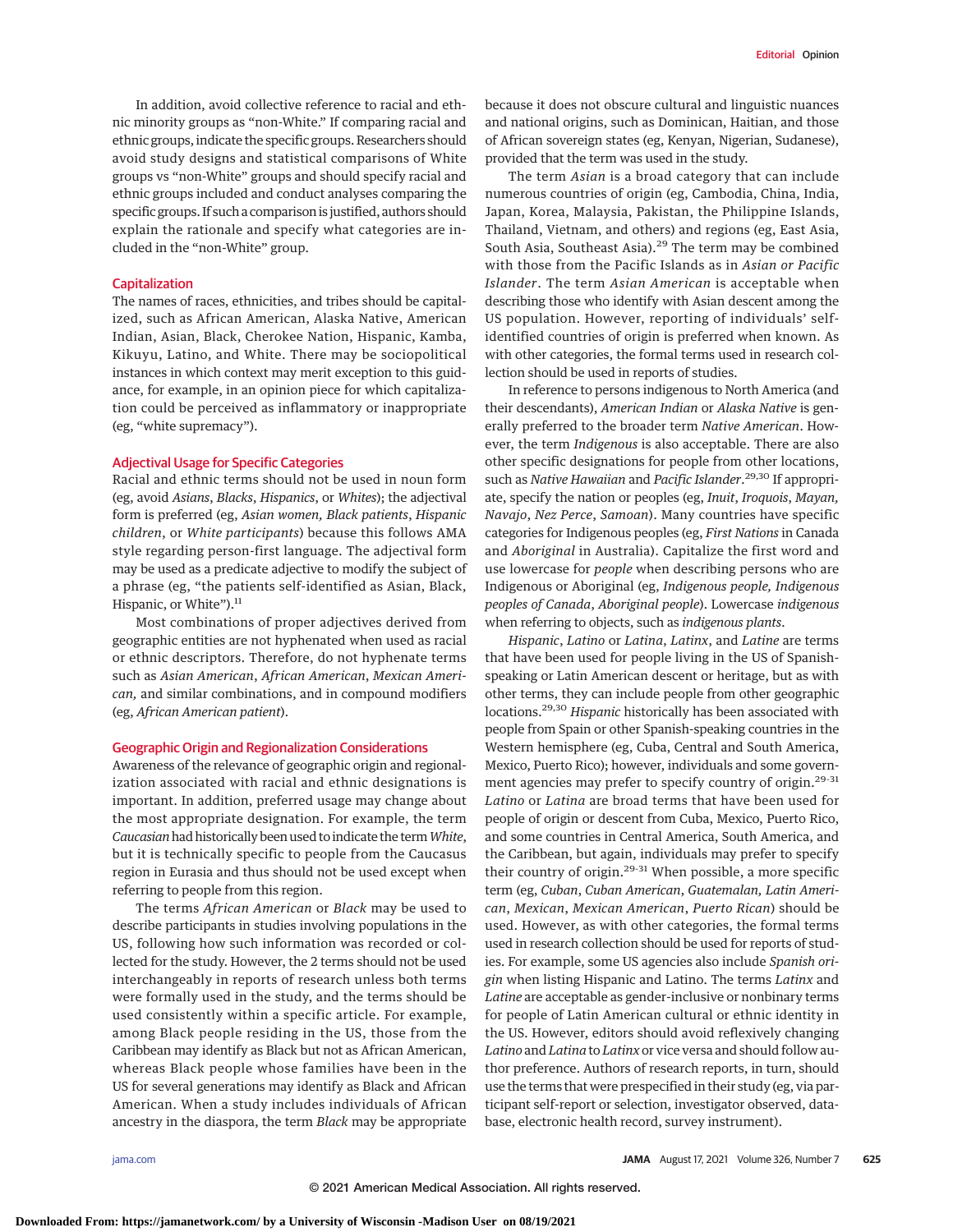In addition, avoid collective reference to racial and ethnic minority groups as "non-White." If comparing racial and ethnic groups, indicate the specific groups. Researchers should avoid study designs and statistical comparisons of White groups vs "non-White" groups and should specify racial and ethnic groups included and conduct analyses comparing the specific groups. If such a comparison is justified, authors should explain the rationale and specify what categories are included in the "non-White" group.

## Capitalization

The names of races, ethnicities, and tribes should be capitalized, such as African American, Alaska Native, American Indian, Asian, Black, Cherokee Nation, Hispanic, Kamba, Kikuyu, Latino, and White. There may be sociopolitical instances in which context may merit exception to this guidance, for example, in an opinion piece for which capitalization could be perceived as inflammatory or inappropriate (eg, "white supremacy").

## Adjectival Usage for Specific Categories

Racial and ethnic terms should not be used in noun form (eg, avoid *Asians*, *Blacks*, *Hispanics*, or *Whites*); the adjectival form is preferred (eg, *Asian women, Black patients*, *Hispanic children*, or *White participants*) because this follows AMA style regarding person-first language. The adjectival form may be used as a predicate adjective to modify the subject of a phrase (eg, "the patients self-identified as Asian, Black, Hispanic, or White").<sup>11</sup>

Most combinations of proper adjectives derived from geographic entities are not hyphenated when used as racial or ethnic descriptors. Therefore, do not hyphenate terms such as *Asian American*, *African American*, *Mexican American,* and similar combinations, and in compound modifiers (eg, *African American patient*).

#### Geographic Origin and Regionalization Considerations

Awareness of the relevance of geographic origin and regionalization associated with racial and ethnic designations is important. In addition, preferred usage may change about the most appropriate designation. For example, the term *Caucasian*had historically been used to indicate the term*White*, but it is technically specific to people from the Caucasus region in Eurasia and thus should not be used except when referring to people from this region.

The terms *African American* or *Black* may be used to describe participants in studies involving populations in the US, following how such information was recorded or collected for the study. However, the 2 terms should not be used interchangeably in reports of research unless both terms were formally used in the study, and the terms should be used consistently within a specific article. For example, among Black people residing in the US, those from the Caribbean may identify as Black but not as African American, whereas Black people whose families have been in the US for several generations may identify as Black and African American. When a study includes individuals of African ancestry in the diaspora, the term *Black* may be appropriate because it does not obscure cultural and linguistic nuances and national origins, such as Dominican, Haitian, and those of African sovereign states (eg, Kenyan, Nigerian, Sudanese), provided that the term was used in the study.

The term *Asian* is a broad category that can include numerous countries of origin (eg, Cambodia, China, India, Japan, Korea, Malaysia, Pakistan, the Philippine Islands, Thailand, Vietnam, and others) and regions (eg, East Asia, South Asia, Southeast Asia).<sup>29</sup> The term may be combined with those from the Pacific Islands as in *Asian or Pacific Islander*. The term *Asian American* is acceptable when describing those who identify with Asian descent among the US population. However, reporting of individuals' selfidentified countries of origin is preferred when known. As with other categories, the formal terms used in research collection should be used in reports of studies.

In reference to persons indigenous to North America (and their descendants), *American Indian* or *Alaska Native* is generally preferred to the broader term *Native American*. However, the term *Indigenous* is also acceptable. There are also other specific designations for people from other locations, such as *Native Hawaiian* and *Pacific Islander*. 29,30 If appropriate, specify the nation or peoples (eg, *Inuit*, *Iroquois*, *Mayan, Navajo*, *Nez Perce*, *Samoan*). Many countries have specific categories for Indigenous peoples (eg, *First Nations* in Canada and *Aboriginal* in Australia). Capitalize the first word and use lowercase for *people* when describing persons who are Indigenous or Aboriginal (eg, *Indigenous people, Indigenous peoples of Canada*, *Aboriginal people*). Lowercase *indigenous* when referring to objects, such as *indigenous plants*.

*Hispanic*, *Latino* or *Latina*, *Latinx*, and *Latine* are terms that have been used for people living in the US of Spanishspeaking or Latin American descent or heritage, but as with other terms, they can include people from other geographic locations.29,30 *Hispanic* historically has been associated with people from Spain or other Spanish-speaking countries in the Western hemisphere (eg, Cuba, Central and South America, Mexico, Puerto Rico); however, individuals and some government agencies may prefer to specify country of origin.<sup>29-31</sup> *Latino* or *Latina* are broad terms that have been used for people of origin or descent from Cuba, Mexico, Puerto Rico, and some countries in Central America, South America, and the Caribbean, but again, individuals may prefer to specify their country of origin.<sup>29-31</sup> When possible, a more specific term (eg, *Cuban*, *Cuban American*, *Guatemalan, Latin American*, *Mexican*, *Mexican American*, *Puerto Rican*) should be used. However, as with other categories, the formal terms used in research collection should be used for reports of studies. For example, some US agencies also include *Spanish origin* when listing Hispanic and Latino. The terms *Latinx* and *Latine* are acceptable as gender-inclusive or nonbinary terms for people of Latin American cultural or ethnic identity in the US. However, editors should avoid reflexively changing *Latino* and *Latina* to *Latinx* or vice versa and should follow author preference. Authors of research reports, in turn, should use the terms that were prespecified in their study (eg, via participant self-report or selection, investigator observed, database, electronic health record, survey instrument).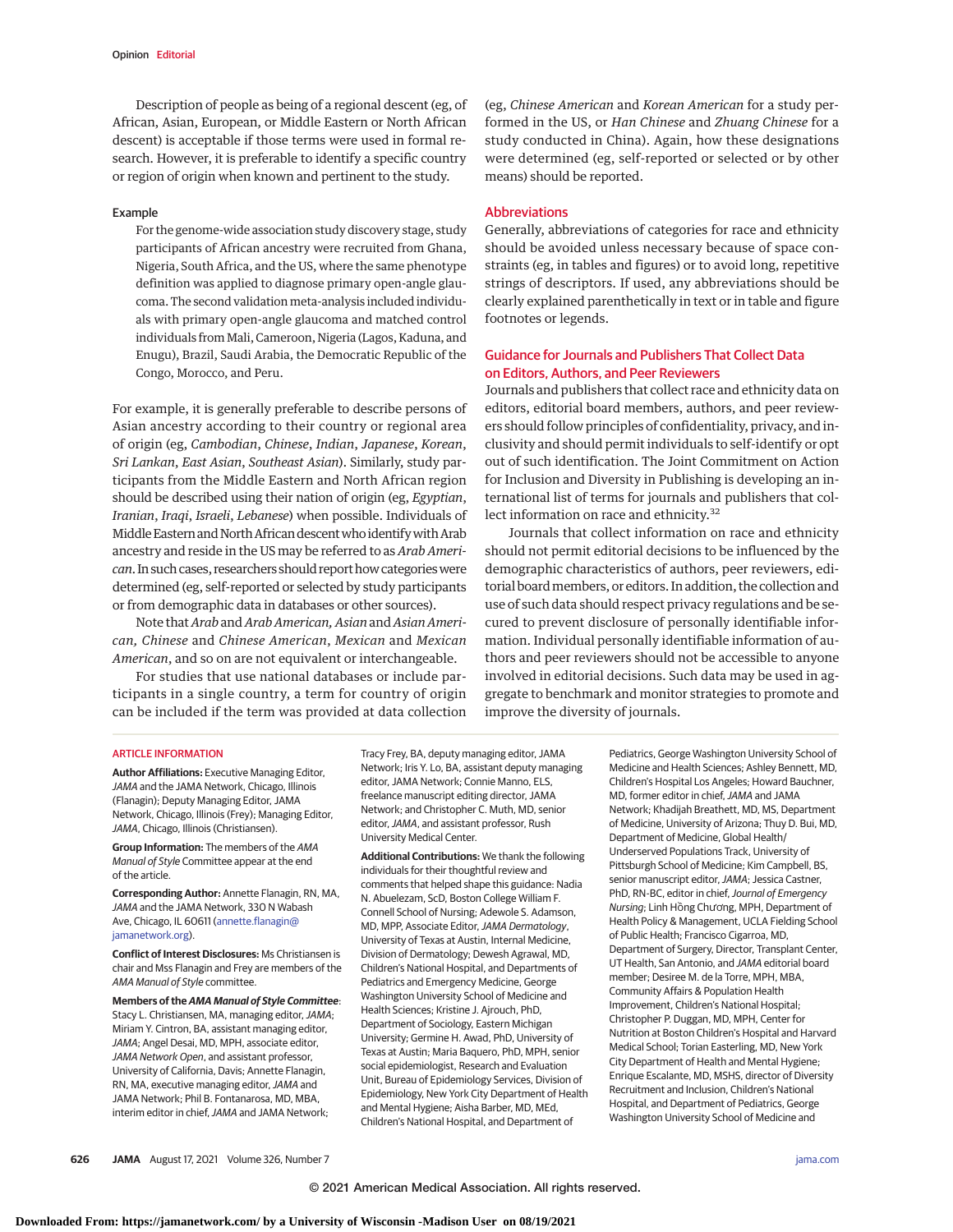Description of people as being of a regional descent (eg, of African, Asian, European, or Middle Eastern or North African descent) is acceptable if those terms were used in formal research. However, it is preferable to identify a specific country or region of origin when known and pertinent to the study.

#### Example

For the genome-wide association study discovery stage, study participants of African ancestry were recruited from Ghana, Nigeria, South Africa, and the US, where the same phenotype definition was applied to diagnose primary open-angle glaucoma. The second validation meta-analysis included individuals with primary open-angle glaucoma and matched control individuals from Mali, Cameroon, Nigeria (Lagos, Kaduna, and Enugu), Brazil, Saudi Arabia, the Democratic Republic of the Congo, Morocco, and Peru.

For example, it is generally preferable to describe persons of Asian ancestry according to their country or regional area of origin (eg, *Cambodian*, *Chinese*, *Indian*, *Japanese*, *Korean*, *Sri Lankan*, *East Asian*, *Southeast Asian*). Similarly, study participants from the Middle Eastern and North African region should be described using their nation of origin (eg, *Egyptian*, *Iranian*, *Iraqi*, *Israeli*, *Lebanese*) when possible. Individuals of Middle Eastern and North African descent who identify with Arab ancestry and reside in the US may be referred to as *Arab American*. In such cases, researchers should report how categories were determined (eg, self-reported or selected by study participants or from demographic data in databases or other sources).

Note that *Arab* and *Arab American, Asian*and *Asian American, Chinese* and *Chinese American*, *Mexican* and *Mexican American*, and so on are not equivalent or interchangeable.

For studies that use national databases or include participants in a single country, a term for country of origin can be included if the term was provided at data collection (eg, *Chinese American* and *Korean American* for a study performed in the US, or *Han Chinese* and *Zhuang Chinese* for a study conducted in China). Again, how these designations were determined (eg, self-reported or selected or by other means) should be reported.

## Abbreviations

Generally, abbreviations of categories for race and ethnicity should be avoided unless necessary because of space constraints (eg, in tables and figures) or to avoid long, repetitive strings of descriptors. If used, any abbreviations should be clearly explained parenthetically in text or in table and figure footnotes or legends.

# Guidance for Journals and Publishers That Collect Data on Editors, Authors, and Peer Reviewers

Journals and publishers that collect race and ethnicity data on editors, editorial board members, authors, and peer reviewers should follow principles of confidentiality, privacy, and inclusivity and should permit individuals to self-identify or opt out of such identification. The Joint Commitment on Action for Inclusion and Diversity in Publishing is developing an international list of terms for journals and publishers that collect information on race and ethnicity.<sup>32</sup>

Journals that collect information on race and ethnicity should not permit editorial decisions to be influenced by the demographic characteristics of authors, peer reviewers, editorial board members, or editors. In addition, the collection and use of such data should respect privacy regulations and be secured to prevent disclosure of personally identifiable information. Individual personally identifiable information of authors and peer reviewers should not be accessible to anyone involved in editorial decisions. Such data may be used in aggregate to benchmark and monitor strategies to promote and improve the diversity of journals.

#### ARTICLE INFORMATION

**Author Affiliations:** Executive Managing Editor, JAMA and the JAMA Network, Chicago, Illinois (Flanagin); Deputy Managing Editor, JAMA Network, Chicago, Illinois (Frey); Managing Editor, JAMA, Chicago, Illinois (Christiansen).

**Group Information:** The members of the AMA Manual of Style Committee appear at the end of the article.

**Corresponding Author:** Annette Flanagin, RN, MA, JAMA and the JAMA Network, 330 N Wabash Ave, Chicago, IL 60611 (annette.flanagin@ jamanetwork.org).

**Conflict of Interest Disclosures:** Ms Christiansen is chair and Mss Flanagin and Frey are members of the AMA Manual of Style committee.

**Members of the AMA Manual of Style Committee**: Stacy L. Christiansen, MA, managing editor, JAMA; Miriam Y. Cintron, BA, assistant managing editor, JAMA; Angel Desai, MD, MPH, associate editor, JAMA Network Open, and assistant professor, University of California, Davis; Annette Flanagin, RN, MA, executive managing editor, JAMA and JAMA Network; Phil B. Fontanarosa, MD, MBA, interim editor in chief, JAMA and JAMA Network;

Tracy Frey, BA, deputy managing editor, JAMA Network; Iris Y. Lo, BA, assistant deputy managing editor, JAMA Network; Connie Manno, ELS, freelance manuscript editing director, JAMA Network; and Christopher C. Muth, MD, senior editor, JAMA, and assistant professor, Rush University Medical Center.

**Additional Contributions:** We thank the following individuals for their thoughtful review and comments that helped shape this guidance: Nadia N. Abuelezam, ScD, Boston College William F. Connell School of Nursing; Adewole S. Adamson, MD, MPP, Associate Editor, JAMA Dermatology, University of Texas at Austin, Internal Medicine, Division of Dermatology; Dewesh Agrawal, MD, Children's National Hospital, and Departments of Pediatrics and Emergency Medicine, George Washington University School of Medicine and Health Sciences; Kristine J. Ajrouch, PhD, Department of Sociology, Eastern Michigan University; Germine H. Awad, PhD, University of Texas at Austin; Maria Baquero, PhD, MPH, senior social epidemiologist, Research and Evaluation Unit, Bureau of Epidemiology Services, Division of Epidemiology, New York City Department of Health and Mental Hygiene; Aisha Barber, MD, MEd, Children's National Hospital, and Department of

Pediatrics, George Washington University School of Medicine and Health Sciences; Ashley Bennett, MD, Children's Hospital Los Angeles; Howard Bauchner, MD, former editor in chief, JAMA and JAMA Network; Khadijah Breathett, MD, MS, Department of Medicine, University of Arizona; Thuy D. Bui, MD, Department of Medicine, Global Health/ Underserved Populations Track, University of Pittsburgh School of Medicine; Kim Campbell, BS, senior manuscript editor, JAMA; Jessica Castner, PhD, RN-BC, editor in chief, Journal of Emergency Nursing; Linh Hồng Chương, MPH, Department of Health Policy & Management, UCLA Fielding School of Public Health; Francisco Cigarroa, MD, Department of Surgery, Director, Transplant Center, UT Health, San Antonio, and JAMA editorial board member; Desiree M. de la Torre, MPH, MBA, Community Affairs & Population Health Improvement, Children's National Hospital; Christopher P. Duggan, MD, MPH, Center for Nutrition at Boston Children's Hospital and Harvard Medical School; Torian Easterling, MD, New York City Department of Health and Mental Hygiene; Enrique Escalante, MD, MSHS, director of Diversity Recruitment and Inclusion, Children's National Hospital, and Department of Pediatrics, George Washington University School of Medicine and